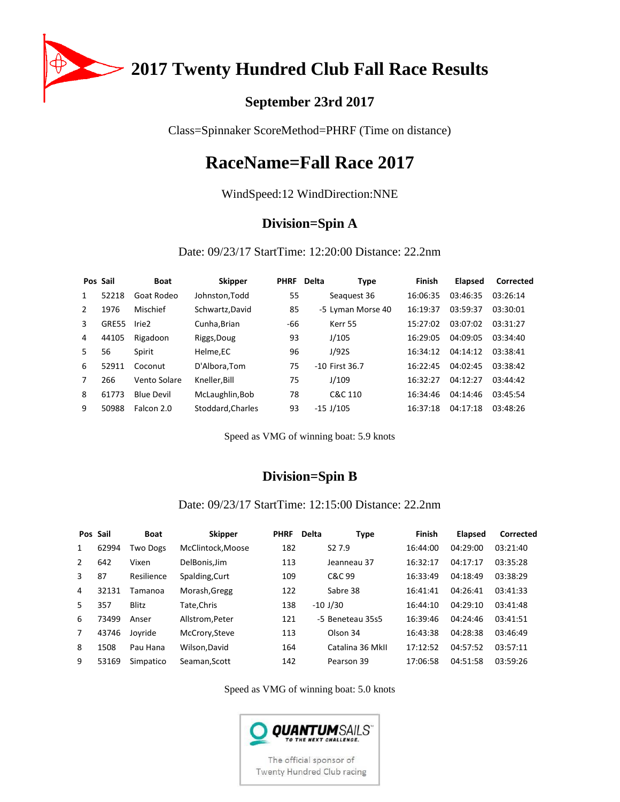

2017 Twenty Hundred Club Fall Race Results

## **September 23rd 2017**

Class=Spinnaker ScoreMethod=PHRF (Time on distance)

# **RaceName=Fall Race 2017**

WindSpeed:12 WindDirection:NNE

### **Division=Spin A**

Date: 09/23/17 StartTime: 12:20:00 Distance: 22.2nm

|               | Pos Sail | <b>Boat</b>       | <b>Skipper</b>    | <b>PHRF</b> | <b>Delta</b> | <b>Type</b>       | Finish   | <b>Elapsed</b> | Corrected |
|---------------|----------|-------------------|-------------------|-------------|--------------|-------------------|----------|----------------|-----------|
| 1             | 52218    | Goat Rodeo        | Johnston, Todd    | 55          |              | Seaguest 36       | 16:06:35 | 03:46:35       | 03:26:14  |
| $\mathcal{P}$ | 1976     | Mischief          | Schwartz, David   | 85          |              | -5 Lyman Morse 40 | 16:19:37 | 03:59:37       | 03:30:01  |
| 3             | GRE55    | Irie <sub>2</sub> | Cunha, Brian      | -66         |              | Kerr 55           | 15:27:02 | 03:07:02       | 03:31:27  |
| 4             | 44105    | Rigadoon          | Riggs, Doug       | 93          |              | J/105             | 16:29:05 | 04:09:05       | 03:34:40  |
| 5.            | 56       | Spirit            | Helme,EC          | 96          |              | J/92S             | 16:34:12 | 04:14:12       | 03:38:41  |
| 6             | 52911    | Coconut           | D'Albora.Tom      | 75          |              | $-10$ First 36.7  | 16:22:45 | 04:02:45       | 03:38:42  |
| 7             | 266      | Vento Solare      | Kneller, Bill     | 75          |              | J/109             | 16:32:27 | 04:12:27       | 03:44:42  |
| 8             | 61773    | <b>Blue Devil</b> | McLaughlin, Bob   | 78          |              | C&C 110           | 16:34:46 | 04:14:46       | 03:45:54  |
| 9             | 50988    | Falcon 2.0        | Stoddard, Charles | 93          |              | $-15$ J/105       | 16:37:18 | 04:17:18       | 03:48:26  |

Speed as VMG of winning boat: 5.9 knots

## **Division=Spin B**

### Date: 09/23/17 StartTime: 12:15:00 Distance: 22.2nm

| Pos Sail |       | <b>Boat</b>     | <b>Skipper</b>   | <b>PHRF</b> | <b>Delta</b>       | Finish<br><b>Type</b> | <b>Elapsed</b> | Corrected |
|----------|-------|-----------------|------------------|-------------|--------------------|-----------------------|----------------|-----------|
| 1        | 62994 | <b>Two Dogs</b> | McClintock.Moose | 182         | S <sub>2</sub> 7.9 | 16:44:00              | 04:29:00       | 03:21:40  |
| 2        | 642   | Vixen           | DelBonis.Jim     | 113         | Jeanneau 37        | 16:32:17              | 04:17:17       | 03:35:28  |
| 3        | 87    | Resilience      | Spalding, Curt   | 109         | C&C 99             | 16:33:49              | 04:18:49       | 03:38:29  |
| 4        | 32131 | Tamanoa         | Morash, Gregg    | 122         | Sabre 38           | 16:41:41              | 04:26:41       | 03:41:33  |
| 5.       | 357   | Blitz           | Tate, Chris      | 138         | $-10$ J/30         | 16:44:10              | 04:29:10       | 03:41:48  |
| 6        | 73499 | Anser           | Allstrom, Peter  | 121         | -5 Beneteau 35s5   | 16:39:46              | 04:24:46       | 03:41:51  |
| 7        | 43746 | Joyride         | McCrory, Steve   | 113         | Olson 34           | 16:43:38              | 04:28:38       | 03:46:49  |
| 8        | 1508  | Pau Hana        | Wilson.David     | 164         | Catalina 36 MkII   | 17:12:52              | 04:57:52       | 03:57:11  |
| 9        | 53169 | Simpatico       | Seaman.Scott     | 142         | Pearson 39         | 17:06:58              | 04:51:58       | 03:59:26  |

Speed as VMG of winning boat: 5.0 knots